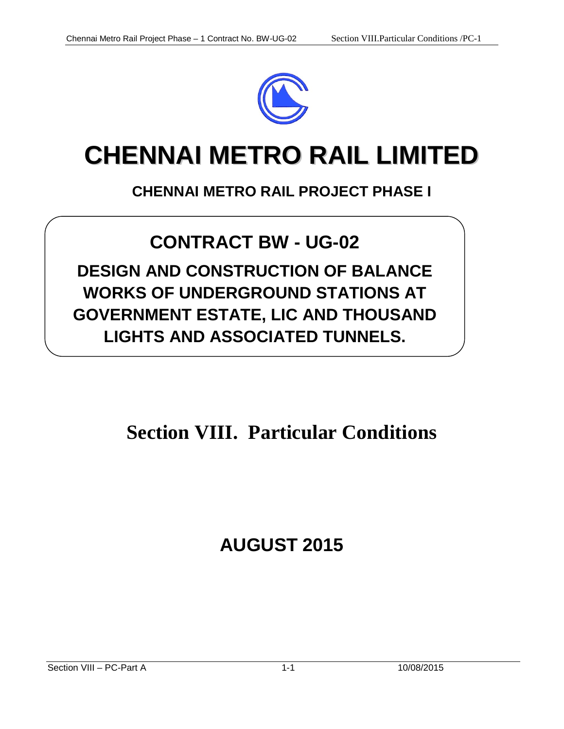

# **CHENNAI METRO RAIL LIMITED**

#### **CHENNAI METRO RAIL PROJECT PHASE I**

## **CONTRACT BW - UG-02**

**DESIGN AND CONSTRUCTION OF BALANCE WORKS OF UNDERGROUND STATIONS AT GOVERNMENT ESTATE, LIC AND THOUSAND LIGHTS AND ASSOCIATED TUNNELS.**

# **Section VIII. Particular Conditions**

# **AUGUST 2015**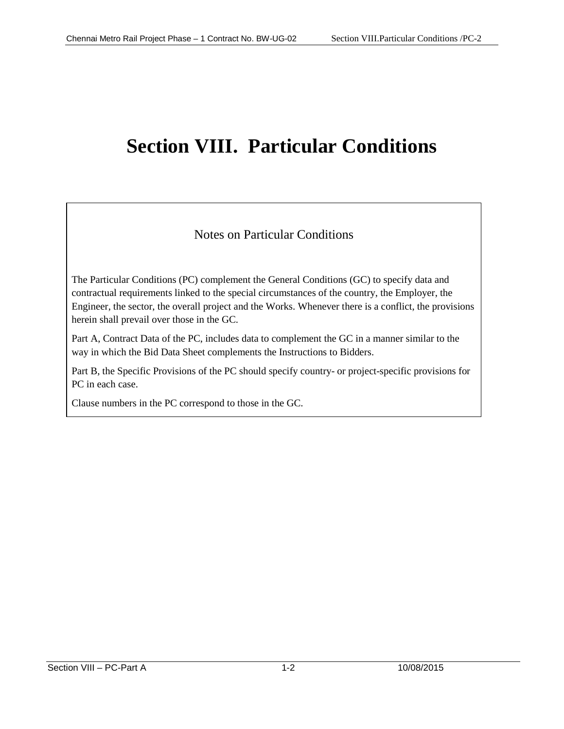# **Section VIII. Particular Conditions**

#### Notes on Particular Conditions

The Particular Conditions (PC) complement the General Conditions (GC) to specify data and contractual requirements linked to the special circumstances of the country, the Employer, the Engineer, the sector, the overall project and the Works. Whenever there is a conflict, the provisions herein shall prevail over those in the GC.

Part A, Contract Data of the PC, includes data to complement the GC in a manner similar to the way in which the Bid Data Sheet complements the Instructions to Bidders.

Part B, the Specific Provisions of the PC should specify country- or project-specific provisions for PC in each case.

Clause numbers in the PC correspond to those in the GC.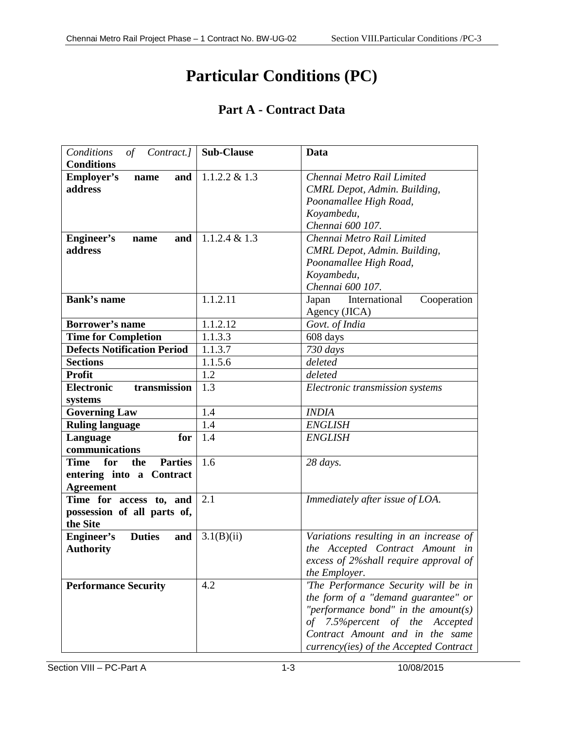### **Particular Conditions (PC)**

#### **Part A - Contract Data**

| Conditions<br>of<br>Contract.]<br><b>Conditions</b>                                         | <b>Sub-Clause</b> | Data                                                                                                                                                                                                                               |  |  |
|---------------------------------------------------------------------------------------------|-------------------|------------------------------------------------------------------------------------------------------------------------------------------------------------------------------------------------------------------------------------|--|--|
| <b>Employer's</b><br>and<br>name<br>address                                                 | $1.1.2.2 \& 1.3$  | Chennai Metro Rail Limited<br>CMRL Depot, Admin. Building,<br>Poonamallee High Road,<br>Koyambedu,<br>Chennai 600 107.                                                                                                             |  |  |
| Engineer's<br>and<br>name<br>address                                                        | $1.1.2.4 \& 1.3$  | Chennai Metro Rail Limited<br>CMRL Depot, Admin. Building,<br>Poonamallee High Road,<br>Koyambedu,<br>Chennai 600 107.                                                                                                             |  |  |
| <b>Bank's name</b>                                                                          | 1.1.2.11          | International<br>Japan<br>Cooperation<br>Agency (JICA)                                                                                                                                                                             |  |  |
| <b>Borrower's name</b>                                                                      | 1.1.2.12          | Govt. of India                                                                                                                                                                                                                     |  |  |
| <b>Time for Completion</b>                                                                  | 1.1.3.3           | 608 days                                                                                                                                                                                                                           |  |  |
| <b>Defects Notification Period</b>                                                          | 1.1.3.7           | 730 days                                                                                                                                                                                                                           |  |  |
| <b>Sections</b>                                                                             | 1.1.5.6           | deleted                                                                                                                                                                                                                            |  |  |
| <b>Profit</b>                                                                               | 1.2               | deleted                                                                                                                                                                                                                            |  |  |
| transmission<br><b>Electronic</b><br>systems                                                | 1.3               | Electronic transmission systems                                                                                                                                                                                                    |  |  |
| <b>Governing Law</b>                                                                        | 1.4               | <b>INDIA</b>                                                                                                                                                                                                                       |  |  |
| <b>Ruling language</b>                                                                      | 1.4               | <b>ENGLISH</b>                                                                                                                                                                                                                     |  |  |
| Language<br>for<br>communications                                                           | 1.4               | <b>ENGLISH</b>                                                                                                                                                                                                                     |  |  |
| <b>Parties</b><br><b>Time</b><br>for<br>the<br>entering into a Contract<br><b>Agreement</b> | 1.6               | 28 days.                                                                                                                                                                                                                           |  |  |
| Time for access to, and<br>possession of all parts of,<br>the Site                          | 2.1               | Immediately after issue of LOA.                                                                                                                                                                                                    |  |  |
| <b>Duties</b><br><b>Engineer's</b><br>and<br><b>Authority</b>                               | 3.1(B)(ii)        | Variations resulting in an increase of<br>the Accepted Contract Amount in<br>excess of 2% shall require approval of<br>the Employer.                                                                                               |  |  |
| <b>Performance Security</b>                                                                 | 4.2               | 'The Performance Security will be in<br>the form of a "demand guarantee" or<br>"performance bond" in the amount(s)<br>of 7.5% percent of the Accepted<br>Contract Amount and in the same<br>currency(ies) of the Accepted Contract |  |  |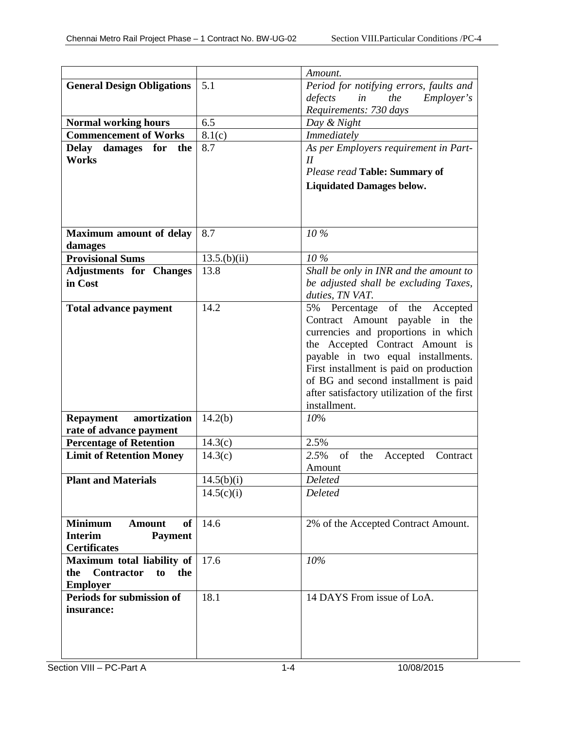|                                                              |                         | Amount.                                                     |  |  |
|--------------------------------------------------------------|-------------------------|-------------------------------------------------------------|--|--|
| <b>General Design Obligations</b>                            | 5.1                     | Period for notifying errors, faults and                     |  |  |
|                                                              |                         | in<br>the<br><i>Employer's</i><br>defects                   |  |  |
|                                                              |                         | Requirements: 730 days                                      |  |  |
| <b>Normal working hours</b>                                  | 6.5                     | Day & Night                                                 |  |  |
| <b>Commencement of Works</b>                                 | 8.1(c)                  | Immediately                                                 |  |  |
| <b>Delay</b><br>damages for<br>the                           | 8.7                     | As per Employers requirement in Part-                       |  |  |
| <b>Works</b>                                                 |                         | $I\!I$                                                      |  |  |
|                                                              |                         | Please read Table: Summary of                               |  |  |
|                                                              |                         | <b>Liquidated Damages below.</b>                            |  |  |
|                                                              |                         |                                                             |  |  |
|                                                              |                         |                                                             |  |  |
|                                                              |                         |                                                             |  |  |
| <b>Maximum amount of delay</b>                               | 8.7                     | 10 %                                                        |  |  |
| damages                                                      |                         |                                                             |  |  |
| <b>Provisional Sums</b>                                      | 13.5(b)(ii)             | 10%                                                         |  |  |
| <b>Adjustments for Changes</b>                               | 13.8                    | Shall be only in INR and the amount to                      |  |  |
| in Cost                                                      |                         | be adjusted shall be excluding Taxes,                       |  |  |
|                                                              |                         | duties, TN VAT.                                             |  |  |
| <b>Total advance payment</b>                                 | 14.2                    | 5% Percentage of the Accepted                               |  |  |
|                                                              |                         | Contract Amount payable in the                              |  |  |
|                                                              |                         | currencies and proportions in which                         |  |  |
|                                                              |                         | the Accepted Contract Amount is                             |  |  |
|                                                              |                         | payable in two equal installments.                          |  |  |
|                                                              |                         | First installment is paid on production                     |  |  |
|                                                              |                         | of BG and second installment is paid                        |  |  |
|                                                              |                         | after satisfactory utilization of the first<br>installment. |  |  |
| amortization<br><b>Repayment</b>                             | 14.2(b)                 | 10%                                                         |  |  |
| rate of advance payment                                      |                         |                                                             |  |  |
| <b>Percentage of Retention</b>                               | 14.3(c)                 | 2.5%                                                        |  |  |
| <b>Limit of Retention Money</b>                              | 14.3(c)                 | 2.5%<br>of<br>the<br>Accepted<br>Contract                   |  |  |
|                                                              |                         | Amount                                                      |  |  |
| <b>Plant and Materials</b>                                   | $14.5(b)\overline{(i)}$ | Deleted                                                     |  |  |
|                                                              | 14.5(c)(i)              | Deleted                                                     |  |  |
|                                                              |                         |                                                             |  |  |
|                                                              |                         |                                                             |  |  |
| <b>Minimum</b><br><b>of</b><br><b>Amount</b>                 | 14.6                    | 2% of the Accepted Contract Amount.                         |  |  |
| <b>Interim</b><br><b>Payment</b>                             |                         |                                                             |  |  |
| <b>Certificates</b>                                          | 17.6                    | 10%                                                         |  |  |
| Maximum total liability of<br>Contractor<br>the<br>to<br>the |                         |                                                             |  |  |
|                                                              |                         |                                                             |  |  |
| <b>Employer</b><br>Periods for submission of                 | 18.1                    | 14 DAYS From issue of LoA.                                  |  |  |
| insurance:                                                   |                         |                                                             |  |  |
|                                                              |                         |                                                             |  |  |
|                                                              |                         |                                                             |  |  |
|                                                              |                         |                                                             |  |  |
|                                                              |                         |                                                             |  |  |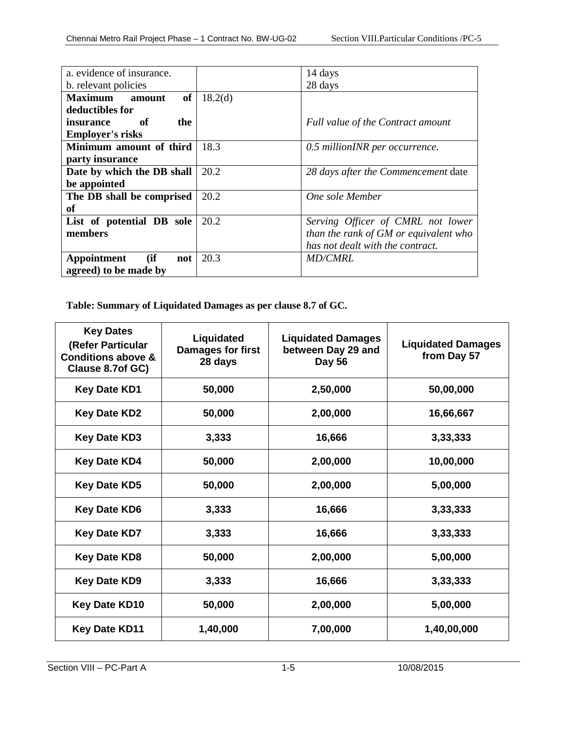| a. evidence of insurance.  |                     | 14 days                               |  |  |
|----------------------------|---------------------|---------------------------------------|--|--|
| b. relevant policies       |                     | 28 days                               |  |  |
| of<br>Maximum amount       | 18.2 <sub>(d)</sub> |                                       |  |  |
| deductibles for            |                     |                                       |  |  |
| - of<br>the<br>insurance   |                     | Full value of the Contract amount     |  |  |
| <b>Employer's risks</b>    |                     |                                       |  |  |
| Minimum amount of third    | 18.3                | 0.5 millionINR per occurrence.        |  |  |
| party insurance            |                     |                                       |  |  |
| Date by which the DB shall | 20.2                | 28 days after the Commencement date   |  |  |
| be appointed               |                     |                                       |  |  |
| The DB shall be comprised  | 20.2                | One sole Member                       |  |  |
| of                         |                     |                                       |  |  |
| List of potential DB sole  | 20.2                | Serving Officer of CMRL not lower     |  |  |
| members                    |                     | than the rank of GM or equivalent who |  |  |
|                            |                     | has not dealt with the contract.      |  |  |
| (ii<br>Appointment<br>not  | 20.3                | <i>MD/CMRL</i>                        |  |  |
| agreed) to be made by      |                     |                                       |  |  |

**Table: Summary of Liquidated Damages as per clause 8.7 of GC.**

| <b>Key Dates</b><br>(Refer Particular<br><b>Conditions above &amp;</b><br>Clause 8.7of GC) | Liquidated<br><b>Damages for first</b><br>28 days | <b>Liquidated Damages</b><br>between Day 29 and<br><b>Day 56</b> | <b>Liquidated Damages</b><br>from Day 57 |
|--------------------------------------------------------------------------------------------|---------------------------------------------------|------------------------------------------------------------------|------------------------------------------|
| <b>Key Date KD1</b>                                                                        | 50,000                                            | 2,50,000                                                         | 50,00,000                                |
| <b>Key Date KD2</b>                                                                        | 50,000                                            | 2,00,000                                                         | 16,66,667                                |
| <b>Key Date KD3</b>                                                                        | 3,333                                             | 16,666                                                           | 3,33,333                                 |
| <b>Key Date KD4</b>                                                                        | 50,000                                            | 2,00,000                                                         | 10,00,000                                |
| <b>Key Date KD5</b>                                                                        | 50,000                                            | 2,00,000                                                         | 5,00,000                                 |
| <b>Key Date KD6</b>                                                                        | 3,333                                             | 16,666                                                           | 3,33,333                                 |
| <b>Key Date KD7</b>                                                                        | 3,333                                             | 16,666                                                           | 3,33,333                                 |
| <b>Key Date KD8</b>                                                                        | 50,000                                            | 2,00,000                                                         | 5,00,000                                 |
| <b>Key Date KD9</b>                                                                        | 3,333                                             | 16,666                                                           | 3,33,333                                 |
| <b>Key Date KD10</b>                                                                       | 50,000                                            | 2,00,000                                                         | 5,00,000                                 |
| <b>Key Date KD11</b>                                                                       | 1,40,000                                          | 7,00,000                                                         | 1,40,00,000                              |